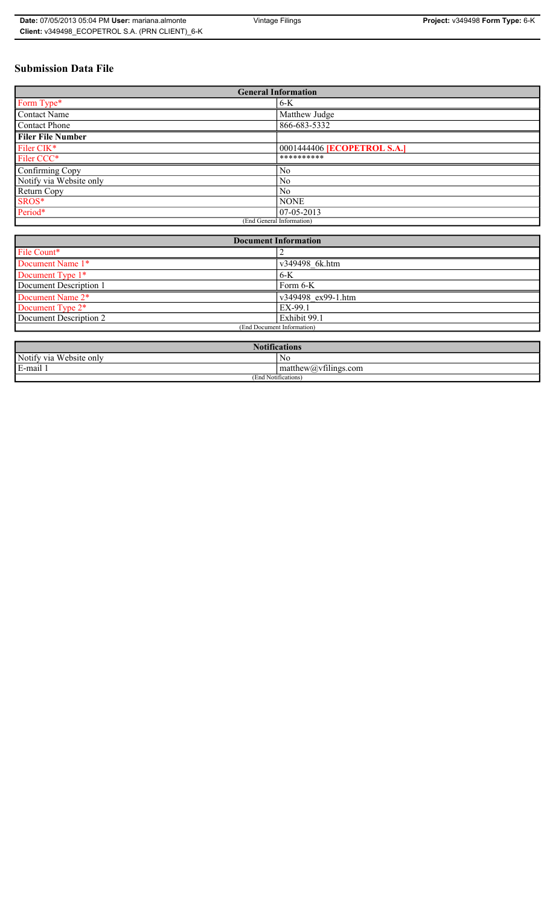# **Submission Data File**

| <b>General Information</b> |                                    |
|----------------------------|------------------------------------|
| Form Type*                 | $6-K$                              |
| <b>Contact Name</b>        | Matthew Judge                      |
| Contact Phone              | 866-683-5332                       |
| <b>Filer File Number</b>   |                                    |
| Filer CIK*                 | 0001444406 <b>[ECOPETROL S.A.]</b> |
| Filer CCC*                 | **********                         |
| Confirming Copy            | N <sub>0</sub>                     |
| Notify via Website only    | N <sub>0</sub>                     |
| Return Copy                | No.                                |
| SROS*                      | <b>NONE</b>                        |
| Period*                    | 07-05-2013                         |
| (End General Information)  |                                    |

| <b>Document Information</b>  |                    |
|------------------------------|--------------------|
| File Count*                  |                    |
| Document Name 1*             | v349498 6k.htm     |
| Document Type 1*             | $6-K$              |
| Document Description 1       | Form 6-K           |
| Document Name 2*             | v349498 ex99-1.htm |
| Document Type 2 <sup>*</sup> | EX-99.1            |
| Document Description 2       | Exhibit 99.1       |
| (End Document Information)   |                    |
|                              |                    |

| <b>Notifications</b>    |                                               |  |
|-------------------------|-----------------------------------------------|--|
| Notify via Website only | No                                            |  |
| E-mail<br>$\cdots$      | $\sim$ 1.<br>matthew( <i>a</i> ) vtilings.com |  |
| (End Notifications)     |                                               |  |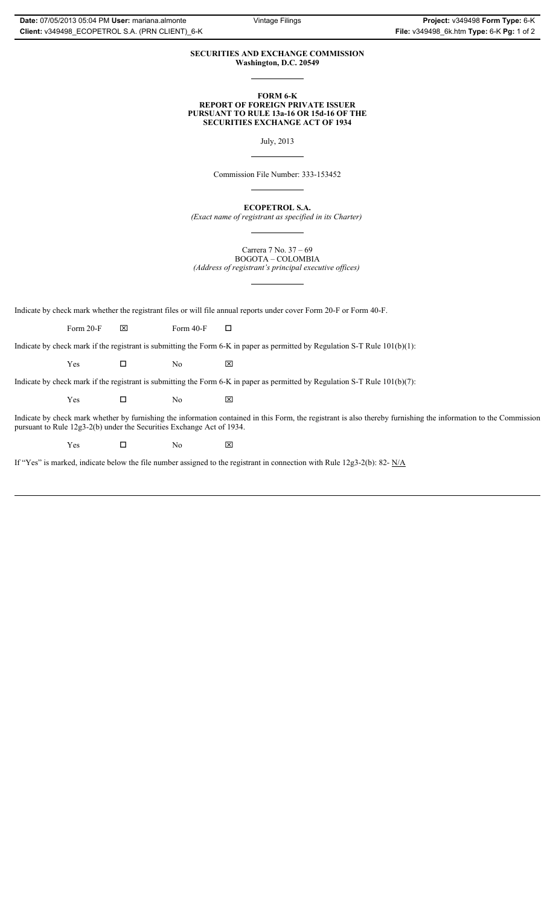### **SECURITIES AND EXCHANGE COMMISSION Washington, D.C. 20549**

#### **FORM 6-K REPORT OF FOREIGN PRIVATE ISSUER PURSUANT TO RULE 13a-16 OR 15d-16 OF THE SECURITIES EXCHANGE ACT OF 1934**

July, 2013

Commission File Number: 333-153452

**ECOPETROL S.A.** *(Exact name of registrant as specified in its Charter)*

Carrera 7 No. 37 – 69 BOGOTA – COLOMBIA *(Address of registrant's principal executive offices)*

Indicate by check mark whether the registrant files or will file annual reports under cover Form 20-F or Form 40-F.

Form 20-F  $\boxtimes$  Form 40-F  $\Box$ 

Indicate by check mark if the registrant is submitting the Form 6-K in paper as permitted by Regulation S-T Rule 101(b)(1):

 $Yes$   $\Box$  No  $X$ 

Indicate by check mark if the registrant is submitting the Form 6-K in paper as permitted by Regulation S-T Rule 101(b)(7):

 $Yes$   $\Box$  No  $X$ 

Indicate by check mark whether by furnishing the information contained in this Form, the registrant is also thereby furnishing the information to the Commission pursuant to Rule 12g3-2(b) under the Securities Exchange Act of 1934.

 $Yes$   $\Box$  No  $X$ 

If "Yes" is marked, indicate below the file number assigned to the registrant in connection with Rule 12g3-2(b): 82- N/A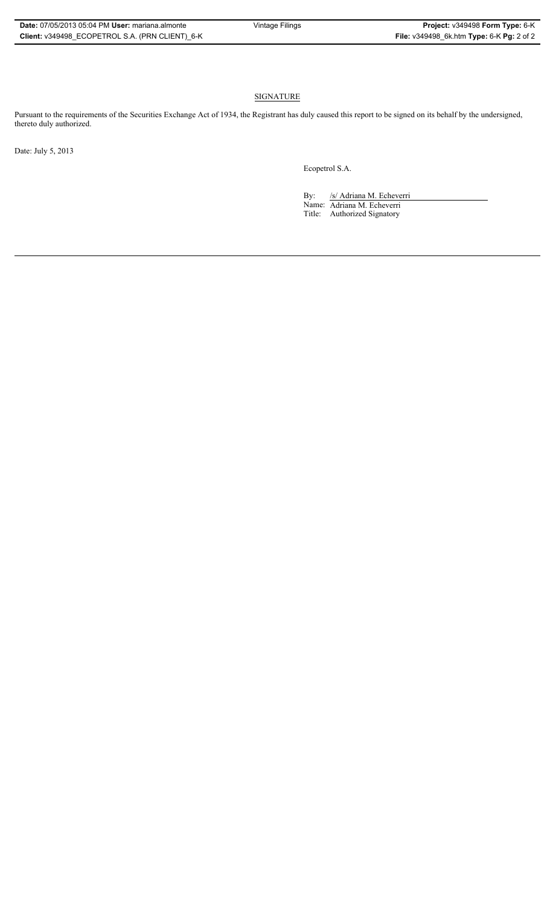## **SIGNATURE**

Pursuant to the requirements of the Securities Exchange Act of 1934, the Registrant has duly caused this report to be signed on its behalf by the undersigned, thereto duly authorized.

Date: July 5, 2013

Ecopetrol S.A.

By: /s/ Adriana M. Echeverri Name: Adriana M. Echeverri Title: Authorized Signatory